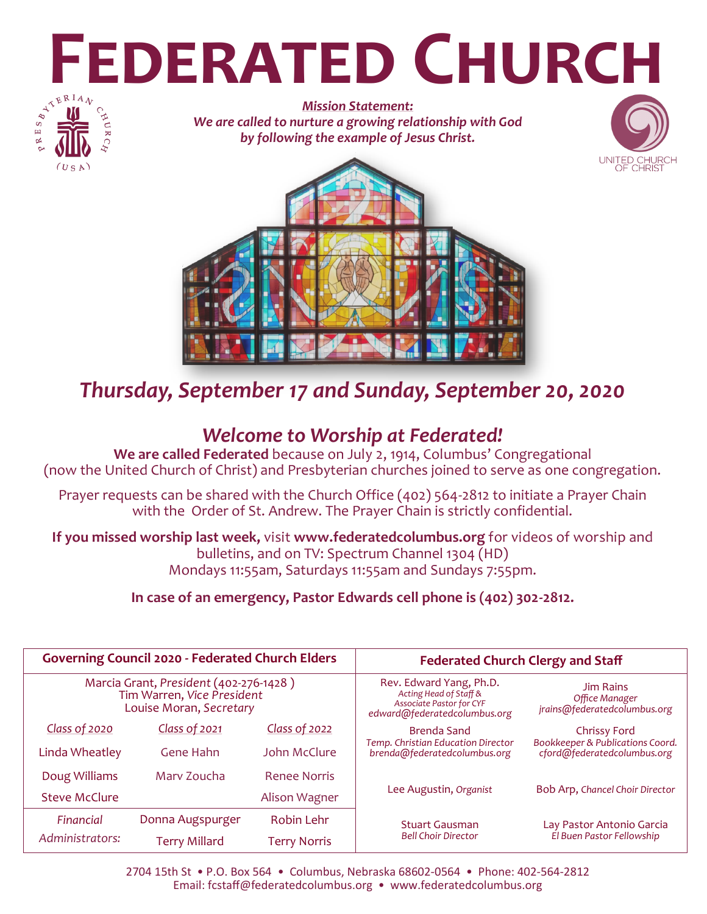# **FEDERATED CHURCH**



*Mission Statement: We are called to nurture a growing relationship with God by following the example of Jesus Christ.*





# *Thursday, September 17 and Sunday, September 20, 2020*

# *Welcome to Worship at Federated!*

**We are called Federated** because on July 2, 1914, Columbus' Congregational (now the United Church of Christ) and Presbyterian churches joined to serve as one congregation.

Prayer requests can be shared with the Church Office (402) 564-2812 to initiate a Prayer Chain with the Order of St. Andrew. The Prayer Chain is strictly confidential.

**If you missed worship last week,** visit **www.federatedcolumbus.org** for videos of worship and bulletins, and on TV: Spectrum Channel 1304 (HD) Mondays 11:55am, Saturdays 11:55am and Sundays 7:55pm.

**In case of an emergency, Pastor Edwards cell phone is (402) 302-2812.** 

| <b>Governing Council 2020 - Federated Church Elders</b>                                         |                      |                     | <b>Federated Church Clergy and Staff</b>                                                                             |                                                                    |
|-------------------------------------------------------------------------------------------------|----------------------|---------------------|----------------------------------------------------------------------------------------------------------------------|--------------------------------------------------------------------|
| Marcia Grant, President (402-276-1428)<br>Tim Warren, Vice President<br>Louise Moran, Secretary |                      |                     | Rev. Edward Yang, Ph.D.<br>Acting Head of Staff &<br><b>Associate Pastor for CYF</b><br>edward@federatedcolumbus.org | <b>Jim Rains</b><br>Office Manager<br>jrains@federatedcolumbus.org |
| <b>Class of 2020</b>                                                                            | Class of 2021        | Class of 2022       | Brenda Sand                                                                                                          | <b>Chrissy Ford</b>                                                |
| Linda Wheatley                                                                                  | Gene Hahn            | John McClure        | <b>Temp. Christian Education Director</b><br>brenda@federatedcolumbus.org                                            | Bookkeeper & Publications Coord.<br>cford@federatedcolumbus.org    |
| Doug Williams                                                                                   | Mary Zoucha          | <b>Renee Norris</b> |                                                                                                                      |                                                                    |
| Steve McClure                                                                                   |                      | Alison Wagner       | Lee Augustin, Organist                                                                                               | Bob Arp, Chancel Choir Director                                    |
| Financial                                                                                       | Donna Augspurger     | Robin Lehr          | <b>Stuart Gausman</b><br><b>Bell Choir Director</b>                                                                  | Lay Pastor Antonio Garcia<br>El Buen Pastor Fellowship             |
| Administrators:                                                                                 | <b>Terry Millard</b> | <b>Terry Norris</b> |                                                                                                                      |                                                                    |

2704 15th St • P.O. Box 564 • Columbus, Nebraska 68602-0564 • Phone: 402-564-2812 Email: fcstaff@federatedcolumbus.org • www.federatedcolumbus.org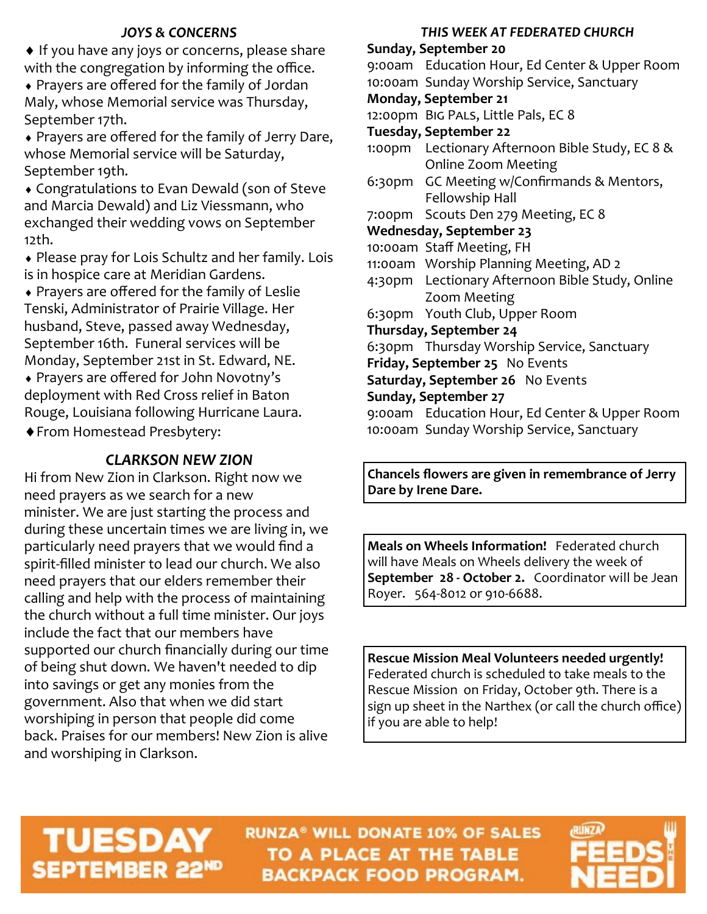# *JOYS & CONCERNS*

♦ If you have any joys or concerns, please share with the congregation by informing the office.

 Prayers are offered for the family of Jordan Maly, whose Memorial service was Thursday, September 17th.

 Prayers are offered for the family of Jerry Dare, whose Memorial service will be Saturday, September 19th.

 Congratulations to Evan Dewald (son of Steve and Marcia Dewald) and Liz Viessmann, who exchanged their wedding vows on September 12th.

 Please pray for Lois Schultz and her family. Lois is in hospice care at Meridian Gardens.

 Prayers are offered for the family of Leslie Tenski, Administrator of Prairie Village. Her husband, Steve, passed away Wednesday, September 16th. Funeral services will be Monday, September 21st in St. Edward, NE. Prayers are offered for John Novotny's deployment with Red Cross relief in Baton Rouge, Louisiana following Hurricane Laura. From Homestead Presbytery:

# *CLARKSON NEW ZION*

Hi from New Zion in Clarkson. Right now we need prayers as we search for a new minister. We are just starting the process and during these uncertain times we are living in, we particularly need prayers that we would find a spirit-filled minister to lead our church. We also need prayers that our elders remember their calling and help with the process of maintaining the church without a full time minister. Our joys include the fact that our members have supported our church financially during our time of being shut down. We haven't needed to dip into savings or get any monies from the government. Also that when we did start worshiping in person that people did come back. Praises for our members! New Zion is alive and worshiping in Clarkson.

## *THIS WEEK AT FEDERATED CHURCH*

# **Sunday, September 20** 9:00am Education Hour, Ed Center & Upper Room 10:00am Sunday Worship Service, Sanctuary **Monday, September 21** 12:00pm Big Pals, Little Pals, EC 8 **Tuesday, September 22** 1:00pm Lectionary Afternoon Bible Study, EC 8 & Online Zoom Meeting 6:30pm GC Meeting w/Confirmands & Mentors, Fellowship Hall 7:00pm Scouts Den 279 Meeting, EC 8 **Wednesday, September 23** 10:00am Staff Meeting, FH 11:00am Worship Planning Meeting, AD 2 4:30pm Lectionary Afternoon Bible Study, Online Zoom Meeting 6:30pm Youth Club, Upper Room **Thursday, September 24** 6:30pm Thursday Worship Service, Sanctuary **Friday, September 25** No Events **Saturday, September 26** No Events **Sunday, September 27** 9:00am Education Hour, Ed Center & Upper Room 10:00am Sunday Worship Service, Sanctuary

**Chancels flowers are given in remembrance of Jerry Dare by Irene Dare.**

**Meals on Wheels Information!** Federated church will have Meals on Wheels delivery the week of **September 28 - October 2.** Coordinator will be Jean Royer. 564-8012 or 910-6688.

**Rescue Mission Meal Volunteers needed urgently!** Federated church is scheduled to take meals to the Rescue Mission on Friday, October 9th. There is a sign up sheet in the Narthex (or call the church office) if you are able to help!

# **TUESDAY** SEPTEMBER 22ND

**RUNZA® WILL DONATE 10% OF SALES** TO A PLACE AT THE TABLE **BACKPACK FOOD PROGRAM.** 

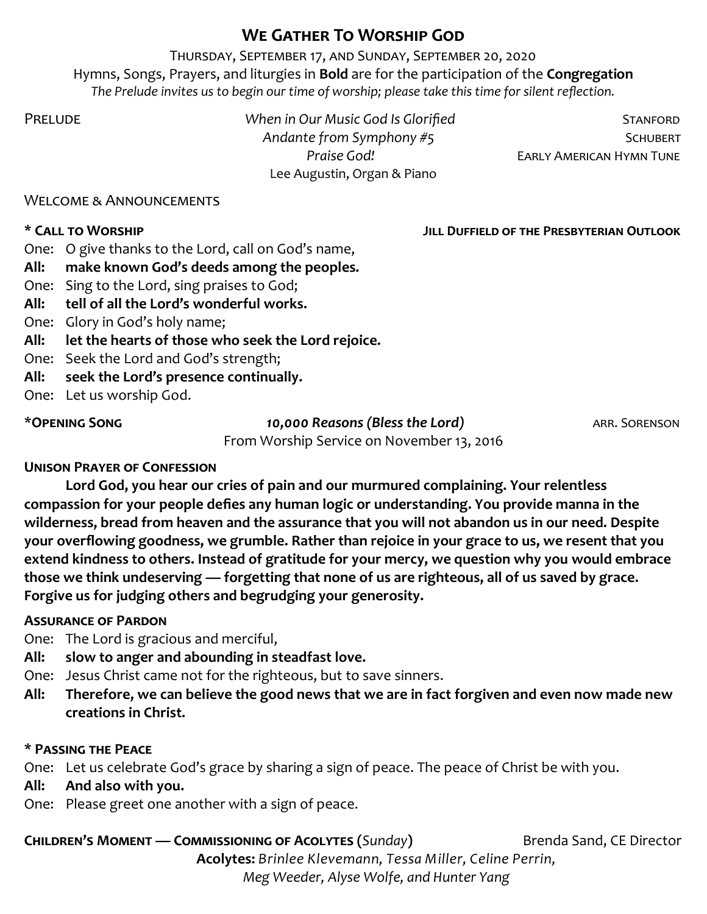# **We Gather To Worship God**

Thursday, September 17, and Sunday, September 20, 2020 Hymns, Songs, Prayers, and liturgies in **Bold** are for the participation of the **Congregation** *The Prelude invites us to begin our time of worship; please take this time for silent reflection.*

PRELUDE *When in Our Music God Is Glorified* **STANFORD** Andante from Symphony #5 **SCHUBERT** Lee Augustin, Organ & Piano

**Praise God!** EARLY AMERICAN HYMN TUNE

Welcome & Announcements

**\* Call to Worship Jill Duffield of the Presbyterian Outlook** 

- One: O give thanks to the Lord, call on God's name,
- **All: make known God's deeds among the peoples.**
- One: Sing to the Lord, sing praises to God;
- **All: tell of all the Lord's wonderful works.**
- One: Glory in God's holy name;
- **All: let the hearts of those who seek the Lord rejoice.**
- One: Seek the Lord and God's strength;
- **All: seek the Lord's presence continually.**
- One: Let us worship God.

\***Opening Song** *10,000 Reasons (Bless the Lord)* arr. Sorenson

From Worship Service on November 13, 2016

# **Unison Prayer of Confession**

**Lord God, you hear our cries of pain and our murmured complaining. Your relentless compassion for your people defies any human logic or understanding. You provide manna in the wilderness, bread from heaven and the assurance that you will not abandon us in our need. Despite your overflowing goodness, we grumble. Rather than rejoice in your grace to us, we resent that you extend kindness to others. Instead of gratitude for your mercy, we question why you would embrace those we think undeserving — forgetting that none of us are righteous, all of us saved by grace. Forgive us for judging others and begrudging your generosity.** 

# **Assurance of Pardon**

One: The Lord is gracious and merciful,

- **All: slow to anger and abounding in steadfast love.**
- One: Jesus Christ came not for the righteous, but to save sinners.
- **All: Therefore, we can believe the good news that we are in fact forgiven and even now made new creations in Christ.**

# **\* Passing the Peace**

One: Let us celebrate God's grace by sharing a sign of peace. The peace of Christ be with you.

**All: And also with you.**

One: Please greet one another with a sign of peace.

**Children's Moment — Commissioning of Acolytes (***Sunday***)** Brenda Sand, CE Director **Acolytes:** *Brinlee Klevemann, Tessa Miller, Celine Perrin, Meg Weeder, Alyse Wolfe, and Hunter Yang*